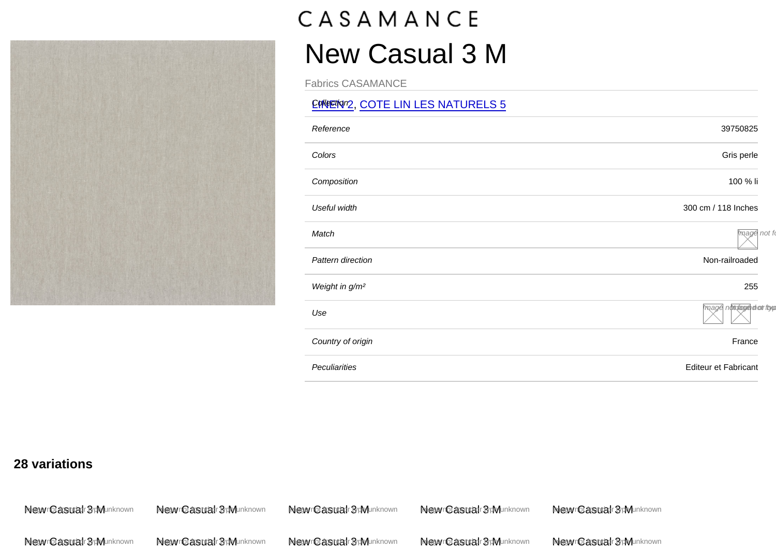## New Casual 3 M

Fabrics CASAMANCE

## ENVERNO 2, [COTE LIN LES NATURELS 5](/var/www/marque.texdecor.com/magento/pub/collections/single/view/id/5076/cote-lin-les-naturels-5)

| Reference                  | 39750825                  |
|----------------------------|---------------------------|
| Colors                     | Gris perle                |
| Composition                | 100 % li                  |
| Useful width               | 300 cm / 118 Inches       |
| Match                      | mage not fo               |
| Pattern direction          | Non-railroaded            |
| Weight in g/m <sup>2</sup> | 255                       |
| Use                        | mage notionage choot ftyp |
| Country of origin          | France                    |
| Peculiarities              | Editeur et Fabricant      |
|                            |                           |

## 28 variations

| New Casuar Bry Inknown | New Oasuar Brounknown | New Oasuar Buvhunknown | New Casuar Brylunknown | New Gasuar Bryunknown       |
|------------------------|-----------------------|------------------------|------------------------|-----------------------------|
| New Gasuar Brounknown  | New Gasuar BrMunknown | New Oasuar Brounknown  | New Gasuar Brylunknown | Neywro asutair Briefunknown |